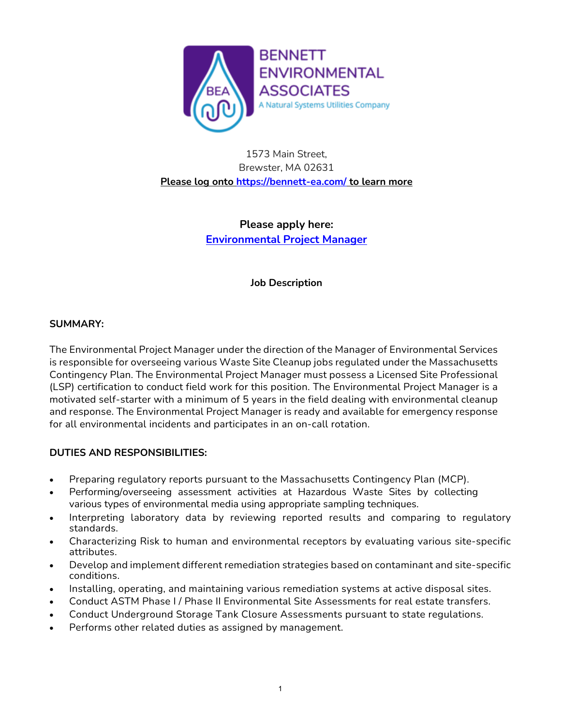

1573 Main Street, Brewster, MA 02631 **Please log onto<https://bennett-ea.com/> to learn more**

> **Please apply here: [Environmental Project Manager](https://workforcenow.adp.com/mascsr/default/mdf/recruitment/recruitment.html?cid=fb30d7bb-6b35-4ece-97a2-d094abe83a7f&ccId=19000101_000001&type=MP&lang=en_US)**

> > **Job Description**

#### **SUMMARY:**

The Environmental Project Manager under the direction of the Manager of Environmental Services is responsible for overseeing various Waste Site Cleanup jobs regulated under the Massachusetts Contingency Plan. The Environmental Project Manager must possess a Licensed Site Professional (LSP) certification to conduct field work for this position. The Environmental Project Manager is a motivated self-starter with a minimum of 5 years in the field dealing with environmental cleanup and response. The Environmental Project Manager is ready and available for emergency response for all environmental incidents and participates in an on-call rotation.

## **DUTIES AND RESPONSIBILITIES:**

- Preparing regulatory reports pursuant to the Massachusetts Contingency Plan (MCP).
- Performing/overseeing assessment activities at Hazardous Waste Sites by collecting various types of environmental media using appropriate sampling techniques.
- Interpreting laboratory data by reviewing reported results and comparing to regulatory standards.
- Characterizing Risk to human and environmental receptors by evaluating various site-specific attributes.
- Develop and implement different remediation strategies based on contaminant and site-specific conditions.
- Installing, operating, and maintaining various remediation systems at active disposal sites.
- Conduct ASTM Phase I / Phase II Environmental Site Assessments for real estate transfers.
- Conduct Underground Storage Tank Closure Assessments pursuant to state regulations.
- Performs other related duties as assigned by management.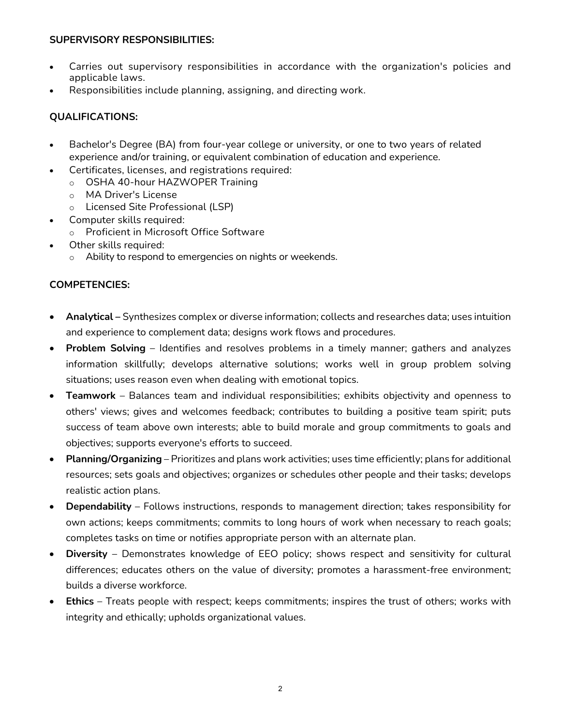### **SUPERVISORY RESPONSIBILITIES:**

- Carries out supervisory responsibilities in accordance with the organization's policies and applicable laws.
- Responsibilities include planning, assigning, and directing work.

## **QUALIFICATIONS:**

- Bachelor's Degree (BA) from four-year college or university, or one to two years of related experience and/or training, or equivalent combination of education and experience.
- Certificates, licenses, and registrations required:
	- o OSHA 40-hour HAZWOPER Training
	- o MA Driver's License
	- o Licensed Site Professional (LSP)
- Computer skills required:
	- o Proficient in Microsoft Office Software
- Other skills required:
	- o Ability to respond to emergencies on nights or weekends.

### **COMPETENCIES:**

- **Analytical –** Synthesizes complex or diverse information; collects and researches data; uses intuition and experience to complement data; designs work flows and procedures.
- **Problem Solving** Identifies and resolves problems in a timely manner; gathers and analyzes information skillfully; develops alternative solutions; works well in group problem solving situations; uses reason even when dealing with emotional topics.
- **Teamwork** Balances team and individual responsibilities; exhibits objectivity and openness to others' views; gives and welcomes feedback; contributes to building a positive team spirit; puts success of team above own interests; able to build morale and group commitments to goals and objectives; supports everyone's efforts to succeed.
- **Planning/Organizing** Prioritizes and plans work activities; uses time efficiently; plans for additional resources; sets goals and objectives; organizes or schedules other people and their tasks; develops realistic action plans.
- **Dependability** Follows instructions, responds to management direction; takes responsibility for own actions; keeps commitments; commits to long hours of work when necessary to reach goals; completes tasks on time or notifies appropriate person with an alternate plan.
- **Diversity** Demonstrates knowledge of EEO policy; shows respect and sensitivity for cultural differences; educates others on the value of diversity; promotes a harassment-free environment; builds a diverse workforce.
- **Ethics** Treats people with respect; keeps commitments; inspires the trust of others; works with integrity and ethically; upholds organizational values.